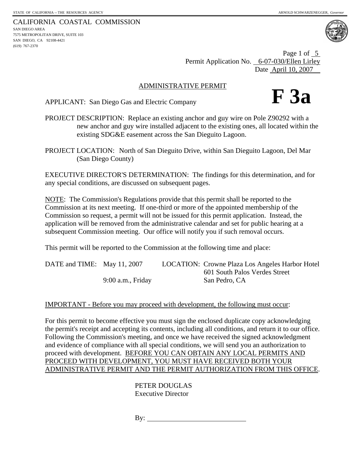CALIFORNIA COASTAL COMMISSION SAN DIEGO AREA 7575 METROPOLITAN DRIVE, SUITE 103 SAN DIEGO, CA 92108-4421 (619) 767-2370



Page 1 of [5](#page-4-0) Permit Application No. 6-07-030/Ellen Lirley Date April 10, 2007

# ADMINISTRATIVE PERMIT

APPLICANT: San Diego Gas and Electric Company



PROJECT DESCRIPTION: Replace an existing anchor and guy wire on Pole Z90292 with a new anchor and guy wire installed adjacent to the existing ones, all located within the existing SDG&E easement across the San Dieguito Lagoon.

PROJECT LOCATION: North of San Dieguito Drive, within San Dieguito Lagoon, Del Mar (San Diego County)

EXECUTIVE DIRECTOR'S DETERMINATION: The findings for this determination, and for any special conditions, are discussed on subsequent pages.

NOTE: The Commission's Regulations provide that this permit shall be reported to the Commission at its next meeting. If one-third or more of the appointed membership of the Commission so request, a permit will not be issued for this permit application. Instead, the application will be removed from the administrative calendar and set for public hearing at a subsequent Commission meeting. Our office will notify you if such removal occurs.

This permit will be reported to the Commission at the following time and place:

| DATE and TIME: May 11, 2007 |                     | <b>LOCATION: Crowne Plaza Los Angeles Harbor Hotel</b> |
|-----------------------------|---------------------|--------------------------------------------------------|
|                             |                     | 601 South Palos Verdes Street                          |
|                             | $9:00$ a.m., Friday | San Pedro, CA                                          |

#### IMPORTANT - Before you may proceed with development, the following must occur:

For this permit to become effective you must sign the enclosed duplicate copy acknowledging the permit's receipt and accepting its contents, including all conditions, and return it to our office. Following the Commission's meeting, and once we have received the signed acknowledgment and evidence of compliance with all special conditions, we will send you an authorization to proceed with development. BEFORE YOU CAN OBTAIN ANY LOCAL PERMITS AND PROCEED WITH DEVELOPMENT, YOU MUST HAVE RECEIVED BOTH YOUR ADMINISTRATIVE PERMIT AND THE PERMIT AUTHORIZATION FROM THIS OFFICE.

> PETER DOUGLAS Executive Director

By: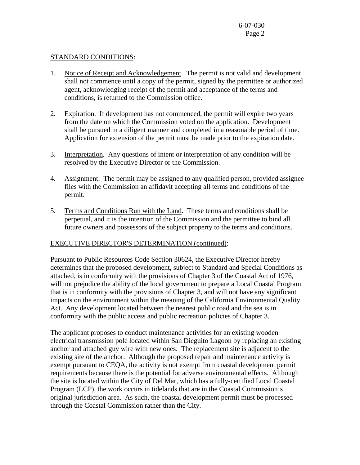## STANDARD CONDITIONS:

- 1. Notice of Receipt and Acknowledgement. The permit is not valid and development shall not commence until a copy of the permit, signed by the permittee or authorized agent, acknowledging receipt of the permit and acceptance of the terms and conditions, is returned to the Commission office.
- 2. Expiration. If development has not commenced, the permit will expire two years from the date on which the Commission voted on the application. Development shall be pursued in a diligent manner and completed in a reasonable period of time. Application for extension of the permit must be made prior to the expiration date.
- 3. Interpretation. Any questions of intent or interpretation of any condition will be resolved by the Executive Director or the Commission.
- 4. Assignment. The permit may be assigned to any qualified person, provided assignee files with the Commission an affidavit accepting all terms and conditions of the permit.
- 5. Terms and Conditions Run with the Land. These terms and conditions shall be perpetual, and it is the intention of the Commission and the permittee to bind all future owners and possessors of the subject property to the terms and conditions.

## EXECUTIVE DIRECTOR'S DETERMINATION (continued):

Pursuant to Public Resources Code Section 30624, the Executive Director hereby determines that the proposed development, subject to Standard and Special Conditions as attached, is in conformity with the provisions of Chapter 3 of the Coastal Act of 1976, will not prejudice the ability of the local government to prepare a Local Coastal Program that is in conformity with the provisions of Chapter 3, and will not have any significant impacts on the environment within the meaning of the California Environmental Quality Act. Any development located between the nearest public road and the sea is in conformity with the public access and public recreation policies of Chapter 3.

The applicant proposes to conduct maintenance activities for an existing wooden electrical transmission pole located within San Dieguito Lagoon by replacing an existing anchor and attached guy wire with new ones. The replacement site is adjacent to the existing site of the anchor. Although the proposed repair and maintenance activity is exempt pursuant to CEQA, the activity is not exempt from coastal development permit requirements because there is the potential for adverse environmental effects. Although the site is located within the City of Del Mar, which has a fully-certified Local Coastal Program (LCP), the work occurs in tidelands that are in the Coastal Commission's original jurisdiction area. As such, the coastal development permit must be processed through the Coastal Commission rather than the City.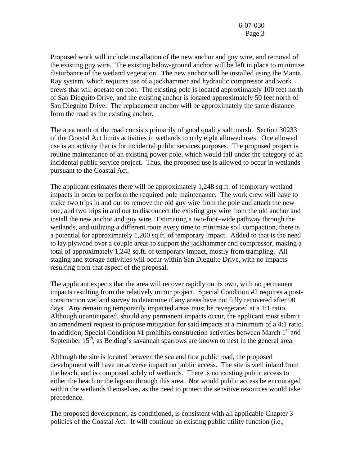Proposed work will include installation of the new anchor and guy wire, and removal of the existing guy wire. The existing below-ground anchor will be left in place to minimize disturbance of the wetland vegetation. The new anchor will be installed using the Manta Ray system, which requires use of a jackhammer and hydraulic compressor and work crews that will operate on foot. The existing pole is located approximately 100 feet north of San Dieguito Drive, and the existing anchor is located approximately 50 feet north of San Dieguito Drive. The replacement anchor will be approximately the same distance from the road as the existing anchor.

The area north of the road consists primarily of good quality salt marsh. Section 30233 of the Coastal Act limits activities in wetlands to only eight allowed uses. One allowed use is an activity that is for incidental public services purposes. The proposed project is routine maintenance of an existing power pole, which would fall under the category of an incidental public service project. Thus, the proposed use is allowed to occur in wetlands pursuant to the Coastal Act.

The applicant estimates there will be approximately 1,248 sq.ft. of temporary wetland impacts in order to perform the required pole maintenance. The work crew will have to make two trips in and out to remove the old guy wire from the pole and attach the new one, and two trips in and out to disconnect the existing guy wire from the old anchor and install the new anchor and guy wire. Estimating a two-foot–wide pathway through the wetlands, and utilizing a different route every time to minimize soil compaction, there is a potential for approximately 1,200 sq.ft. of temporary impact. Added to that is the need to lay plywood over a couple areas to support the jackhammer and compressor, making a total of approximately 1,248 sq.ft. of temporary impact, mostly from trampling. All staging and storage activities will occur within San Dieguito Drive, with no impacts resulting from that aspect of the proposal.

The applicant expects that the area will recover rapidly on its own, with no permanent impacts resulting from the relatively minor project. Special Condition #2 requires a postconstruction wetland survey to determine if any areas have not fully recovered after 90 days. Any remaining temporarily impacted areas must be revegetated at a 1:1 ratio. Although unanticipated, should any permanent impacts occur, the applicant must submit an amendment request to propose mitigation for said impacts at a minimum of a 4:1 ratio. In addition, Special Condition #1 prohibits construction activities between March  $1<sup>st</sup>$  and September  $15<sup>th</sup>$ , as Belding's savannah sparrows are known to nest in the general area.

Although the site is located between the sea and first public road, the proposed development will have no adverse impact on public access. The site is well inland from the beach, and is comprised solely of wetlands. There is no existing public access to either the beach or the lagoon through this area. Nor would public access be encouraged within the wetlands themselves, as the need to protect the sensitive resources would take precedence.

The proposed development, as conditioned, is consistent with all applicable Chapter 3 policies of the Coastal Act. It will continue an existing public utility function (i.e.,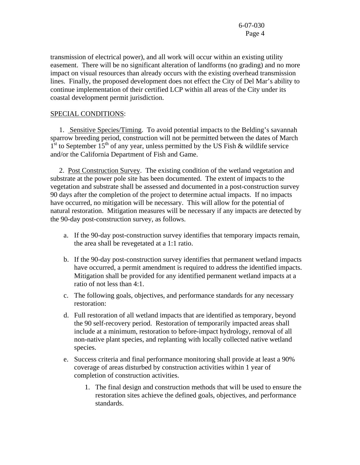transmission of electrical power), and all work will occur within an existing utility easement. There will be no significant alteration of landforms (no grading) and no more impact on visual resources than already occurs with the existing overhead transmission lines. Finally, the proposed development does not effect the City of Del Mar's ability to continue implementation of their certified LCP within all areas of the City under its coastal development permit jurisdiction.

#### SPECIAL CONDITIONS:

 1. Sensitive Species/Timing. To avoid potential impacts to the Belding's savannah sparrow breeding period, construction will not be permitted between the dates of March  $1<sup>st</sup>$  to September  $15<sup>th</sup>$  of any year, unless permitted by the US Fish & wildlife service and/or the California Department of Fish and Game.

 2. Post Construction Survey. The existing condition of the wetland vegetation and substrate at the power pole site has been documented. The extent of impacts to the vegetation and substrate shall be assessed and documented in a post-construction survey 90 days after the completion of the project to determine actual impacts. If no impacts have occurred, no mitigation will be necessary. This will allow for the potential of natural restoration. Mitigation measures will be necessary if any impacts are detected by the 90-day post-construction survey, as follows.

- a. If the 90-day post-construction survey identifies that temporary impacts remain, the area shall be revegetated at a 1:1 ratio.
- b. If the 90-day post-construction survey identifies that permanent wetland impacts have occurred, a permit amendment is required to address the identified impacts. Mitigation shall be provided for any identified permanent wetland impacts at a ratio of not less than 4:1.
- c. The following goals, objectives, and performance standards for any necessary restoration:
- d. Full restoration of all wetland impacts that are identified as temporary, beyond the 90 self-recovery period. Restoration of temporarily impacted areas shall include at a minimum, restoration to before-impact hydrology, removal of all non-native plant species, and replanting with locally collected native wetland species.
- e. Success criteria and final performance monitoring shall provide at least a 90% coverage of areas disturbed by construction activities within 1 year of completion of construction activities.
	- 1. The final design and construction methods that will be used to ensure the restoration sites achieve the defined goals, objectives, and performance standards.